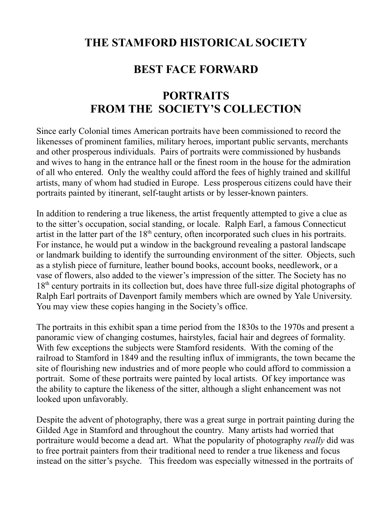## **THE STAMFORD HISTORICAL SOCIETY**

## **BEST FACE FORWARD**

## **PORTRAITS FROM THE SOCIETY'S COLLECTION**

Since early Colonial times American portraits have been commissioned to record the likenesses of prominent families, military heroes, important public servants, merchants and other prosperous individuals. Pairs of portraits were commissioned by husbands and wives to hang in the entrance hall or the finest room in the house for the admiration of all who entered. Only the wealthy could afford the fees of highly trained and skillful artists, many of whom had studied in Europe. Less prosperous citizens could have their portraits painted by itinerant, self-taught artists or by lesser-known painters.

In addition to rendering a true likeness, the artist frequently attempted to give a clue as to the sitter's occupation, social standing, or locale. Ralph Earl, a famous Connecticut artist in the latter part of the  $18<sup>th</sup>$  century, often incorporated such clues in his portraits. For instance, he would put a window in the background revealing a pastoral landscape or landmark building to identify the surrounding environment of the sitter. Objects, such as a stylish piece of furniture, leather bound books, account books, needlework, or a vase of flowers, also added to the viewer's impression of the sitter. The Society has no 18<sup>th</sup> century portraits in its collection but, does have three full-size digital photographs of Ralph Earl portraits of Davenport family members which are owned by Yale University. You may view these copies hanging in the Society's office.

The portraits in this exhibit span a time period from the 1830s to the 1970s and present a panoramic view of changing costumes, hairstyles, facial hair and degrees of formality. With few exceptions the subjects were Stamford residents. With the coming of the railroad to Stamford in 1849 and the resulting influx of immigrants, the town became the site of flourishing new industries and of more people who could afford to commission a portrait. Some of these portraits were painted by local artists. Of key importance was the ability to capture the likeness of the sitter, although a slight enhancement was not looked upon unfavorably.

Despite the advent of photography, there was a great surge in portrait painting during the Gilded Age in Stamford and throughout the country. Many artists had worried that portraiture would become a dead art. What the popularity of photography *really* did was to free portrait painters from their traditional need to render a true likeness and focus instead on the sitter's psyche. This freedom was especially witnessed in the portraits of